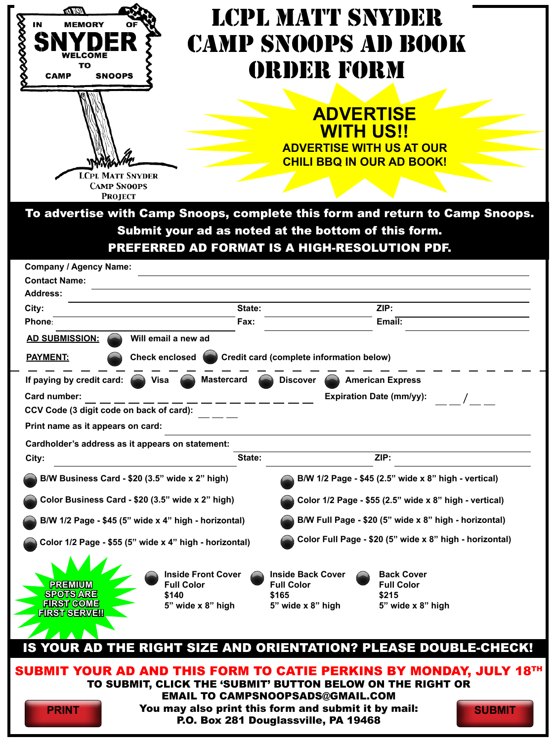| LCPL MATT SNYDER<br><b>MEMORY</b><br><b>CAMP SNOOPS AD BOOK</b><br><b>ORDER FORM</b><br>го<br><b>SNOOPS</b><br><b>CAMP</b>                                                                                                                                                                                             |  |
|------------------------------------------------------------------------------------------------------------------------------------------------------------------------------------------------------------------------------------------------------------------------------------------------------------------------|--|
| <b>ADVERTISE</b><br>WITH US!!<br><b>ADVERTISE WITH US AT OUR</b><br><b>CHILI BBQ IN OUR AD BOOK!</b><br>LCPL MATT SNYDER<br><b>CAMP SNOOPS</b>                                                                                                                                                                         |  |
| <b>PROJECT</b><br>To advertise with Camp Snoops, complete this form and return to Camp Snoops.<br>Submit your ad as noted at the bottom of this form.<br>PREFERRED AD FORMAT IS A HIGH-RESOLUTION PDF.<br><b>Company / Agency Name:</b><br><b>Contact Name:</b>                                                        |  |
| <b>Address:</b><br>ZIP:<br>City:<br>State:<br>Email:<br>Fax:<br>Phone:<br>Will email a new ad<br><b>AD SUBMISSION:</b><br><b>Check enclosed</b><br>Credit card (complete information below)<br><b>PAYMENT:</b>                                                                                                         |  |
| <b>American Express</b><br>If paying by credit card:<br><b>Mastercard</b><br><b>Discover</b><br>Visa<br>Card number:<br><b>Expiration Date (mm/yy):</b><br>CCV Code (3 digit code on back of card):<br>Print name as it appears on card:                                                                               |  |
| Cardholder's address as it appears on statement:<br>ZIP:<br>State:<br>City:                                                                                                                                                                                                                                            |  |
| B/W Business Card - \$20 (3.5" wide x 2" high)<br>B/W 1/2 Page - \$45 (2.5" wide x 8" high - vertical)                                                                                                                                                                                                                 |  |
| Color Business Card - \$20 (3.5" wide x 2" high)<br>Color 1/2 Page - \$55 (2.5" wide x 8" high - vertical)                                                                                                                                                                                                             |  |
| B/W Full Page - \$20 (5" wide x 8" high - horizontal)<br>B/W 1/2 Page - \$45 (5" wide x 4" high - horizontal)                                                                                                                                                                                                          |  |
| Color Full Page - \$20 (5" wide x 8" high - horizontal)<br>Color 1/2 Page - \$55 (5" wide x 4" high - horizontal)                                                                                                                                                                                                      |  |
| <b>Inside Front Cover</b><br><b>Inside Back Cover</b><br><b>Back Cover</b><br><b>Full Color</b><br><b>PREMIUM</b><br><b>Full Color</b><br><b>Full Color</b><br><b>SPOTS ARE</b><br>\$140<br>\$165<br>\$215<br><b>FIRST COME</b><br>5" wide x 8" high<br>5" wide x 8" high<br>5" wide x 8" high<br><b>FIRST SERVEIL</b> |  |
| IS YOUR AD THE RIGHT SIZE AND ORIENTATION? PLEASE DOUBLE-CHECK!                                                                                                                                                                                                                                                        |  |
| SUBMIT YOUR AD AND THIS FORM TO CATIE PERKINS BY MONDAY, JULY 18TH<br>TO SUBMIT, CLICK THE 'SUBMIT' BUTTON BELOW ON THE RIGHT OR<br><b>EMAIL TO CAMPSNOOPSADS@GMAIL.COM</b><br>You may also print this form and submit it by mail:<br><b>PRINT</b><br><b>SUBMIT</b><br>P.O. Box 281 Douglassville, PA 19468            |  |